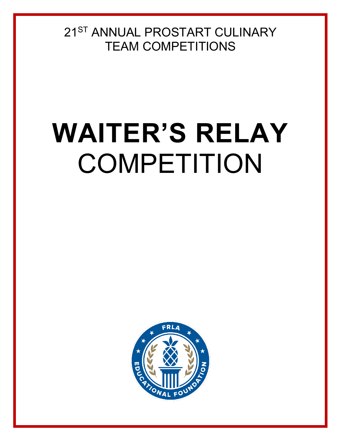21ST ANNUAL PROSTART CULINARY TEAM COMPETITIONS

# **WAITER'S RELAY** COMPETITION

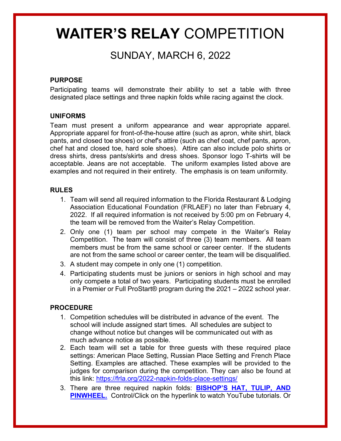## **WAITER'S RELAY** COMPETITION

## SUNDAY, MARCH 6, 2022

#### **PURPOSE**

Participating teams will demonstrate their ability to set a table with three designated place settings and three napkin folds while racing against the clock.

#### **UNIFORMS**

Team must present a uniform appearance and wear appropriate apparel. Appropriate apparel for front-of-the-house attire (such as apron, white shirt, black pants, and closed toe shoes) or chef's attire (such as chef coat, chef pants, apron, chef hat and closed toe, hard sole shoes). Attire can also include polo shirts or dress shirts, dress pants/skirts and dress shoes. Sponsor logo T-shirts will be acceptable. Jeans are not acceptable. The uniform examples listed above are examples and not required in their entirety.The emphasis is on team uniformity.

#### **RULES**

- 1. Team will send all required information to the Florida Restaurant & Lodging Association Educational Foundation (FRLAEF) no later than February 4, 2022. If all required information is not received by 5:00 pm on February 4, the team will be removed from the Waiter's Relay Competition.
- 2. Only one (1) team per school may compete in the Waiter's Relay Competition. The team will consist of three (3) team members. All team members must be from the same school or career center. If the students are not from the same school or career center, the team will be disqualified.
- 3. A student may compete in only one (1) competition.
- 4. Participating students must be juniors or seniors in high school and may only compete a total of two years. Participating students must be enrolled in a Premier or Full ProStart® program during the 2021 – 2022 school year.

#### **PROCEDURE**

- 1. Competition schedules will be distributed in advance of the event. The school will include assigned start times. All schedules are subject to change without notice but changes will be communicated out with as much advance notice as possible.
- 2. Each team will set a table for three guests with these required place settings: American Place Setting, Russian Place Setting and French Place Setting. Examples are attached. These examples will be provided to the judges for comparison during the competition. They can also be found at this link:<https://frla.org/2022-napkin-folds-place-settings/>
- 3. There are three required napkin folds: **[BISHOP'S](https://frla.org/2022-napkin-folds-place-settings/) HAT, TULIP, AND PINWHEEL.** Control/Click on the hyperlink to watch YouTube tutorials. Or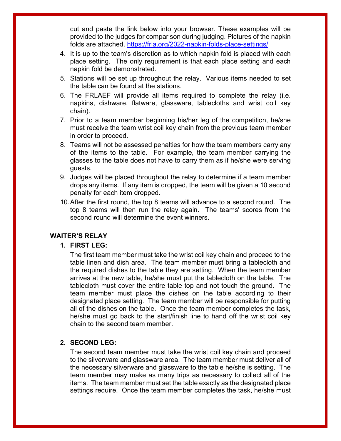cut and paste the link below into your browser. These examples will be provided to the judges for comparison during judging. Pictures of the napkin folds are attached.<https://frla.org/2022-napkin-folds-place-settings/>

- 4. It is up to the team's discretion as to which napkin fold is placed with each place setting. The only requirement is that each place setting and each napkin fold be demonstrated.
- 5. Stations will be set up throughout the relay. Various items needed to set the table can be found at the stations.
- 6. The FRLAEF will provide all items required to complete the relay (i.e. napkins, dishware, flatware, glassware, tablecloths and wrist coil key chain).
- 7. Prior to a team member beginning his/her leg of the competition, he/she must receive the team wrist coil key chain from the previous team member in order to proceed.
- 8. Teams will not be assessed penalties for how the team members carry any of the items to the table. For example, the team member carrying the glasses to the table does not have to carry them as if he/she were serving guests.
- 9. Judges will be placed throughout the relay to determine if a team member drops any items. If any item is dropped, the team will be given a 10 second penalty for each item dropped.
- 10.After the first round, the top 8 teams will advance to a second round. The top 8 teams will then run the relay again. The teams' scores from the second round will determine the event winners.

#### **WAITER'S RELAY**

#### **1. FIRST LEG:**

The first team member must take the wrist coil key chain and proceed to the table linen and dish area. The team member must bring a tablecloth and the required dishes to the table they are setting. When the team member arrives at the new table, he/she must put the tablecloth on the table. The tablecloth must cover the entire table top and not touch the ground. The team member must place the dishes on the table according to their designated place setting. The team member will be responsible for putting all of the dishes on the table. Once the team member completes the task, he/she must go back to the start/finish line to hand off the wrist coil key chain to the second team member.

#### **2. SECOND LEG:**

The second team member must take the wrist coil key chain and proceed to the silverware and glassware area. The team member must deliver all of the necessary silverware and glassware to the table he/she is setting. The team member may make as many trips as necessary to collect all of the items. The team member must set the table exactly as the designated place settings require. Once the team member completes the task, he/she must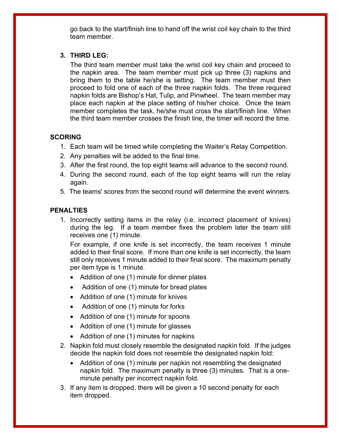go back to the start/finish line to hand off the wrist coil key chain to the third team member.

#### **3. THIRD LEG:**

The third team member must take the wrist coil key chain and proceed to the napkin area. The team member must pick up three (3) napkins and bring them to the table he/she is setting. The team member must then proceed to fold one of each of the three napkin folds. The three required napkin folds are Bishop's Hat, Tulip, and Pinwheel. The team member may place each napkin at the place setting of his/her choice. Once the team member completes the task, he/she must cross the start/finish line. When the third team member crosses the finish line, the timer will record the time.

#### **SCORING**

- 1. Each team will be timed while completing the Waiter's Relay Competition.
- 2. Any penalties will be added to the final time.
- 3. After the first round, the top eight teams will advance to the second round.
- 4. During the second round, each of the top eight teams will run the relay again.
- 5. The teams' scores from the second round will determine the event winners.

#### **PENALTIES**

1. Incorrectly setting items in the relay (i.e. incorrect placement of knives) during the leg. If a team member fixes the problem later the team still receives one (1) minute.

For example, if one knife is set incorrectly, the team receives 1 minute added to their final score. If more than one knife is set incorrectly, the team still only receives 1 minute added to their final score. The maximum penalty per item type is 1 minute.

- Addition of one (1) minute for dinner plates
- Addition of one (1) minute for bread plates
- Addition of one (1) minute for knives
- Addition of one (1) minute for forks
- Addition of one (1) minute for spoons
- Addition of one (1) minute for glasses
- Addition of one (1) minutes for napkins
- 2. Napkin fold must closely resemble the designated napkin fold. If the judges decide the napkin fold does not resemble the designated napkin fold:
	- Addition of one (1) minute per napkin not resembling the designated napkin fold. The maximum penalty is three (3) minutes. That is a oneminute penalty per incorrect napkin fold.
- 3. If any item is dropped, there will be given a 10 second penalty for each item dropped.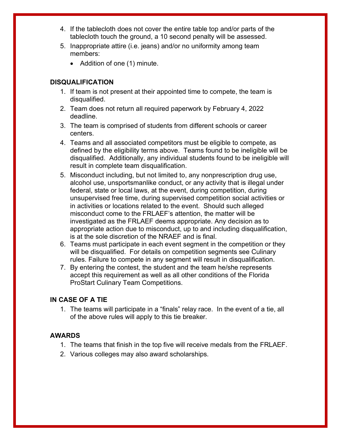- 4. If the tablecloth does not cover the entire table top and/or parts of the tablecloth touch the ground, a 10 second penalty will be assessed.
- 5. Inappropriate attire (i.e. jeans) and/or no uniformity among team members:
	- Addition of one (1) minute.

### **DISQUALIFICATION**

- 1. If team is not present at their appointed time to compete, the team is disqualified.
- 2. Team does not return all required paperwork by February 4, 2022 deadline.
- 3. The team is comprised of students from different schools or career centers.
- 4. Teams and all associated competitors must be eligible to compete, as defined by the eligibility terms above. Teams found to be ineligible will be disqualified. Additionally, any individual students found to be ineligible will result in complete team disqualification.
- 5. Misconduct including, but not limited to, any nonprescription drug use, alcohol use, unsportsmanlike conduct, or any activity that is illegal under federal, state or local laws, at the event, during competition, during unsupervised free time, during supervised competition social activities or in activities or locations related to the event. Should such alleged misconduct come to the FRLAEF's attention, the matter will be investigated as the FRLAEF deems appropriate. Any decision as to appropriate action due to misconduct, up to and including disqualification, is at the sole discretion of the NRAEF and is final.
- 6. Teams must participate in each event segment in the competition or they will be disqualified. For details on competition segments see Culinary rules. Failure to compete in any segment will result in disqualification.
- 7. By entering the contest, the student and the team he/she represents accept this requirement as well as all other conditions of the Florida ProStart Culinary Team Competitions.

#### **IN CASE OF A TIE**

1. The teams will participate in a "finals" relay race. In the event of a tie, all of the above rules will apply to this tie breaker.

#### **AWARDS**

- 1. The teams that finish in the top five will receive medals from the FRLAEF.
- 2. Various colleges may also award scholarships.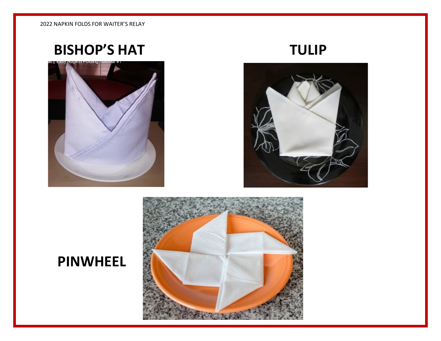## BISHOP'S HAT TULIP





## **PINWHEEL**

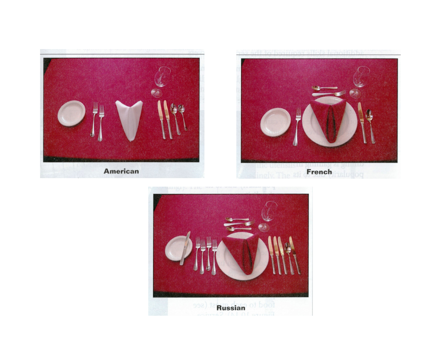